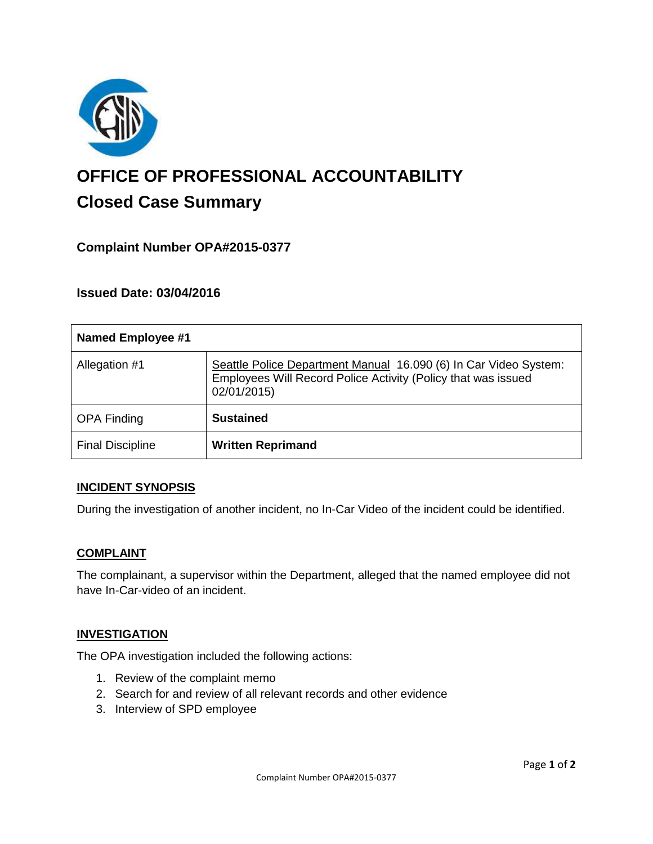

# **OFFICE OF PROFESSIONAL ACCOUNTABILITY Closed Case Summary**

# **Complaint Number OPA#2015-0377**

## **Issued Date: 03/04/2016**

| Named Employee #1       |                                                                                                                                                  |
|-------------------------|--------------------------------------------------------------------------------------------------------------------------------------------------|
| Allegation #1           | Seattle Police Department Manual 16.090 (6) In Car Video System:<br>Employees Will Record Police Activity (Policy that was issued<br>02/01/2015) |
| <b>OPA Finding</b>      | <b>Sustained</b>                                                                                                                                 |
| <b>Final Discipline</b> | <b>Written Reprimand</b>                                                                                                                         |

## **INCIDENT SYNOPSIS**

During the investigation of another incident, no In-Car Video of the incident could be identified.

#### **COMPLAINT**

The complainant, a supervisor within the Department, alleged that the named employee did not have In-Car-video of an incident.

#### **INVESTIGATION**

The OPA investigation included the following actions:

- 1. Review of the complaint memo
- 2. Search for and review of all relevant records and other evidence
- 3. Interview of SPD employee